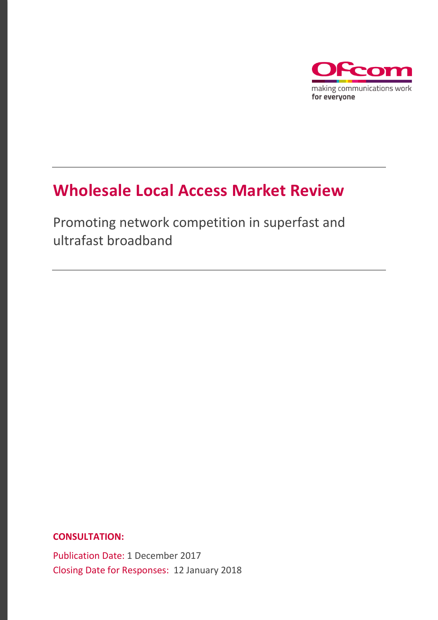

## **Wholesale Local Access Market Review**

Promoting network competition in superfast and ultrafast broadband

**CONSULTATION:**

Publication Date: 1 December 2017 Closing Date for Responses: 12 January 2018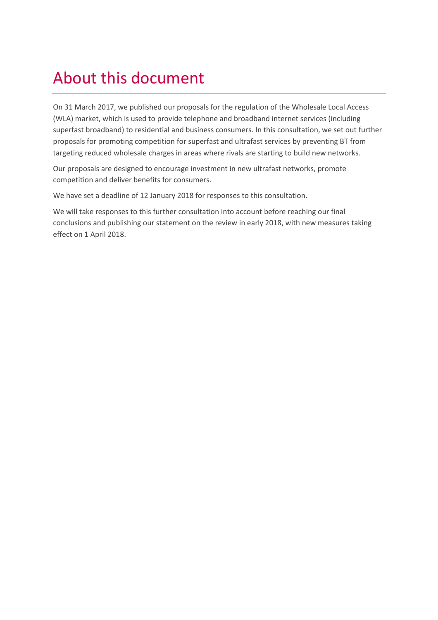# About this document

On 31 March 2017, we published our proposals for the regulation of the Wholesale Local Access (WLA) market, which is used to provide telephone and broadband internet services (including superfast broadband) to residential and business consumers. In this consultation, we set out further proposals for promoting competition for superfast and ultrafast services by preventing BT from targeting reduced wholesale charges in areas where rivals are starting to build new networks.

Our proposals are designed to encourage investment in new ultrafast networks, promote competition and deliver benefits for consumers.

We have set a deadline of 12 January 2018 for responses to this consultation.

We will take responses to this further consultation into account before reaching our final conclusions and publishing our statement on the review in early 2018, with new measures taking effect on 1 April 2018.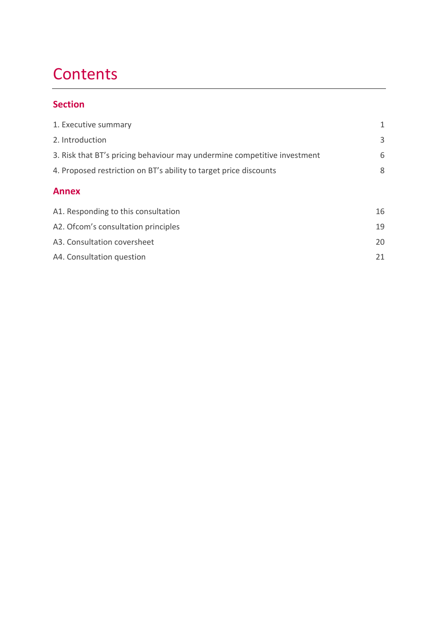# **Contents**

#### **Section**

| 1. Executive summary                                                     | 1  |
|--------------------------------------------------------------------------|----|
| 2. Introduction                                                          | 3  |
| 3. Risk that BT's pricing behaviour may undermine competitive investment | 6  |
| 4. Proposed restriction on BT's ability to target price discounts        | 8  |
| <b>Annex</b>                                                             |    |
| A1. Responding to this consultation                                      | 16 |
| A2. Of com's consultation principles                                     | 19 |
| A3. Consultation coversheet                                              | 20 |
| A4. Consultation question                                                | 21 |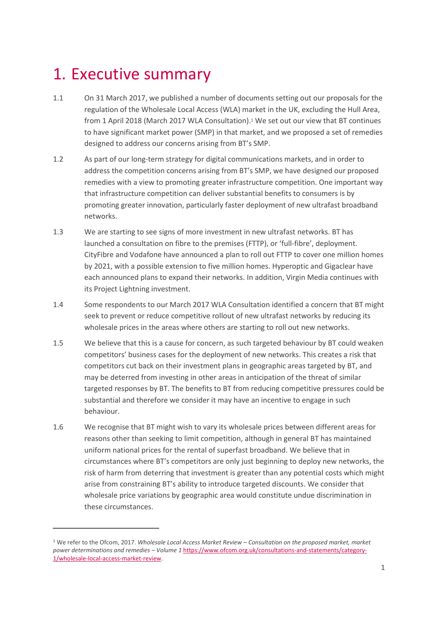## <span id="page-3-0"></span>1. Executive summary

- 1.1 On 31 March 2017, we published a number of documents setting out our proposals for the regulation of the Wholesale Local Access (WLA) market in the UK, excluding the Hull Area, from 1 April 2018 (March 2017 WLA Consultation).<sup>1</sup> We set out our view that BT continues to have significant market power (SMP) in that market, and we proposed a set of remedies designed to address our concerns arising from BT's SMP.
- 1.2 As part of our long-term strategy for digital communications markets, and in order to address the competition concerns arising from BT's SMP, we have designed our proposed remedies with a view to promoting greater infrastructure competition. One important way that infrastructure competition can deliver substantial benefits to consumers is by promoting greater innovation, particularly faster deployment of new ultrafast broadband networks.
- 1.3 We are starting to see signs of more investment in new ultrafast networks. BT has launched a consultation on fibre to the premises (FTTP), or 'full-fibre', deployment. CityFibre and Vodafone have announced a plan to roll out FTTP to cover one million homes by 2021, with a possible extension to five million homes. Hyperoptic and Gigaclear have each announced plans to expand their networks. In addition, Virgin Media continues with its Project Lightning investment.
- 1.4 Some respondents to our March 2017 WLA Consultation identified a concern that BT might seek to prevent or reduce competitive rollout of new ultrafast networks by reducing its wholesale prices in the areas where others are starting to roll out new networks.
- 1.5 We believe that this is a cause for concern, as such targeted behaviour by BT could weaken competitors' business cases for the deployment of new networks. This creates a risk that competitors cut back on their investment plans in geographic areas targeted by BT, and may be deterred from investing in other areas in anticipation of the threat of similar targeted responses by BT. The benefits to BT from reducing competitive pressures could be substantial and therefore we consider it may have an incentive to engage in such behaviour.
- 1.6 We recognise that BT might wish to vary its wholesale prices between different areas for reasons other than seeking to limit competition, although in general BT has maintained uniform national prices for the rental of superfast broadband. We believe that in circumstances where BT's competitors are only just beginning to deploy new networks, the risk of harm from deterring that investment is greater than any potential costs which might arise from constraining BT's ability to introduce targeted discounts. We consider that wholesale price variations by geographic area would constitute undue discrimination in these circumstances.

<sup>1</sup> We refer to the Ofcom, 2017. *Wholesale Local Access Market Review – Consultation on the proposed market, market power determinations and remedies – Volume 1* [https://www.ofcom.org.uk/consultations-and-statements/category-](https://www.ofcom.org.uk/consultations-and-statements/category-1/wholesale-local-access-market-review)[1/wholesale-local-access-market-review.](https://www.ofcom.org.uk/consultations-and-statements/category-1/wholesale-local-access-market-review)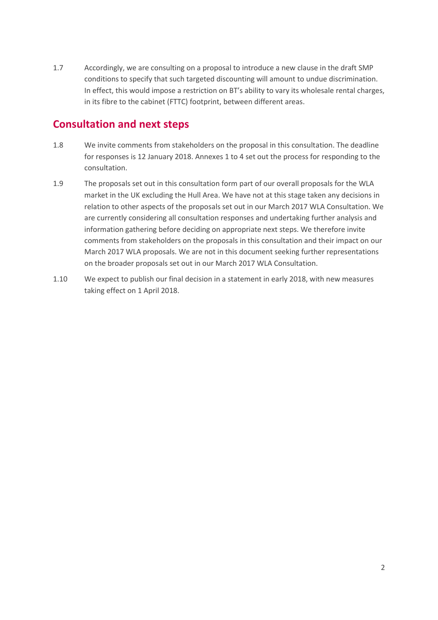1.7 Accordingly, we are consulting on a proposal to introduce a new clause in the draft SMP conditions to specify that such targeted discounting will amount to undue discrimination. In effect, this would impose a restriction on BT's ability to vary its wholesale rental charges, in its fibre to the cabinet (FTTC) footprint, between different areas.

#### **Consultation and next steps**

- 1.8 We invite comments from stakeholders on the proposal in this consultation. The deadline for responses is 12 January 2018. Annexes 1 to 4 set out the process for responding to the consultation.
- 1.9 The proposals set out in this consultation form part of our overall proposals for the WLA market in the UK excluding the Hull Area. We have not at this stage taken any decisions in relation to other aspects of the proposals set out in our March 2017 WLA Consultation. We are currently considering all consultation responses and undertaking further analysis and information gathering before deciding on appropriate next steps. We therefore invite comments from stakeholders on the proposals in this consultation and their impact on our March 2017 WLA proposals. We are not in this document seeking further representations on the broader proposals set out in our March 2017 WLA Consultation.
- 1.10 We expect to publish our final decision in a statement in early 2018, with new measures taking effect on 1 April 2018.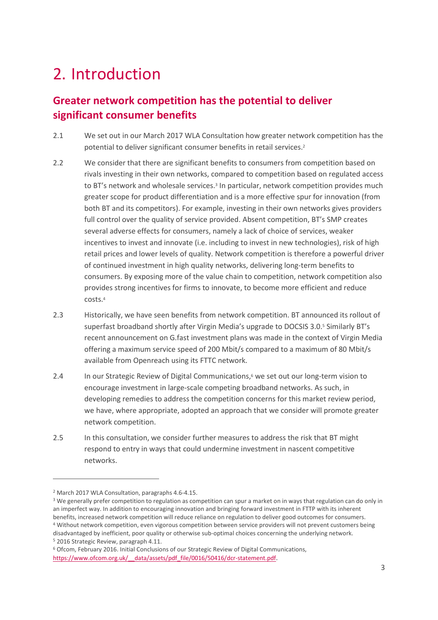## <span id="page-5-0"></span>2. Introduction

## **Greater network competition has the potential to deliver significant consumer benefits**

- 2.1 We set out in our March 2017 WLA Consultation how greater network competition has the potential to deliver significant consumer benefits in retail services.<sup>2</sup>
- 2.2 We consider that there are significant benefits to consumers from competition based on rivals investing in their own networks, compared to competition based on regulated access to BT's network and wholesale services.<sup>3</sup> In particular, network competition provides much greater scope for product differentiation and is a more effective spur for innovation (from both BT and its competitors). For example, investing in their own networks gives providers full control over the quality of service provided. Absent competition, BT's SMP creates several adverse effects for consumers, namely a lack of choice of services, weaker incentives to invest and innovate (i.e. including to invest in new technologies), risk of high retail prices and lower levels of quality. Network competition is therefore a powerful driver of continued investment in high quality networks, delivering long-term benefits to consumers. By exposing more of the value chain to competition, network competition also provides strong incentives for firms to innovate, to become more efficient and reduce costs.<sup>4</sup>
- 2.3 Historically, we have seen benefits from network competition. BT announced its rollout of superfast broadband shortly after Virgin Media's upgrade to DOCSIS 3.0.<sup>5</sup> Similarly BT's recent announcement on G.fast investment plans was made in the context of Virgin Media offering a maximum service speed of 200 Mbit/s compared to a maximum of 80 Mbit/s available from Openreach using its FTTC network.
- 2.4 In our Strategic Review of Digital Communications, <sup>6</sup> we set out our long-term vision to encourage investment in large-scale competing broadband networks. As such, in developing remedies to address the competition concerns for this market review period, we have, where appropriate, adopted an approach that we consider will promote greater network competition.
- 2.5 In this consultation, we consider further measures to address the risk that BT might respond to entry in ways that could undermine investment in nascent competitive networks.

<sup>2</sup> March 2017 WLA Consultation, paragraphs 4.6-4.15.

<sup>3</sup> We generally prefer competition to regulation as competition can spur a market on in ways that regulation can do only in an imperfect way. In addition to encouraging innovation and bringing forward investment in FTTP with its inherent benefits, increased network competition will reduce reliance on regulation to deliver good outcomes for consumers. <sup>4</sup> Without network competition, even vigorous competition between service providers will not prevent customers being disadvantaged by inefficient, poor quality or otherwise sub-optimal choices concerning the underlying network. <sup>5</sup> 2016 Strategic Review, paragraph 4.11.

<sup>6</sup> Ofcom, February 2016. Initial Conclusions of our Strategic Review of Digital Communications, https://www.ofcom.org.uk/ data/assets/pdf file/0016/50416/dcr-statement.pdf.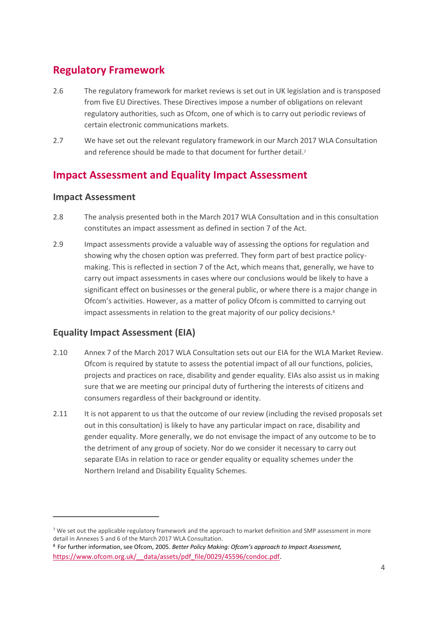### **Regulatory Framework**

- 2.6 The regulatory framework for market reviews is set out in UK legislation and is transposed from five EU Directives. These Directives impose a number of obligations on relevant regulatory authorities, such as Ofcom, one of which is to carry out periodic reviews of certain electronic communications markets.
- 2.7 We have set out the relevant regulatory framework in our March 2017 WLA Consultation and reference should be made to that document for further detail. 7

### **Impact Assessment and Equality Impact Assessment**

#### **Impact Assessment**

 $\overline{a}$ 

- 2.8 The analysis presented both in the March 2017 WLA Consultation and in this consultation constitutes an impact assessment as defined in section 7 of the Act.
- 2.9 Impact assessments provide a valuable way of assessing the options for regulation and showing why the chosen option was preferred. They form part of best practice policymaking. This is reflected in section 7 of the Act, which means that, generally, we have to carry out impact assessments in cases where our conclusions would be likely to have a significant effect on businesses or the general public, or where there is a major change in Ofcom's activities. However, as a matter of policy Ofcom is committed to carrying out impact assessments in relation to the great majority of our policy decisions.<sup>8</sup>

#### **Equality Impact Assessment (EIA)**

- 2.10 Annex 7 of the March 2017 WLA Consultation sets out our EIA for the WLA Market Review. Ofcom is required by statute to assess the potential impact of all our functions, policies, projects and practices on race, disability and gender equality. EIAs also assist us in making sure that we are meeting our principal duty of furthering the interests of citizens and consumers regardless of their background or identity.
- 2.11 It is not apparent to us that the outcome of our review (including the revised proposals set out in this consultation) is likely to have any particular impact on race, disability and gender equality. More generally, we do not envisage the impact of any outcome to be to the detriment of any group of society. Nor do we consider it necessary to carry out separate EIAs in relation to race or gender equality or equality schemes under the Northern Ireland and Disability Equality Schemes.

<sup>7</sup> We set out the applicable regulatory framework and the approach to market definition and SMP assessment in more detail in Annexes 5 and 6 of the March 2017 WLA Consultation.

<sup>8</sup> For further information, see Ofcom, 2005. *Better Policy Making: Ofcom's approach to Impact Assessment,* https://www.ofcom.org.uk/ data/assets/pdf\_file/0029/45596/condoc.pdf.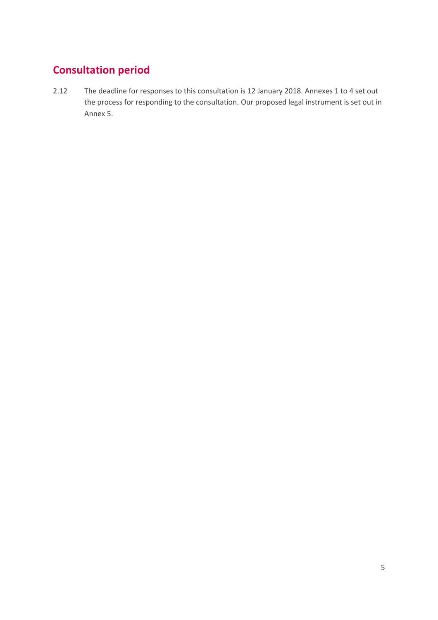## **Consultation period**

2.12 The deadline for responses to this consultation is 12 January 2018. Annexes 1 to 4 set out the process for responding to the consultation. Our proposed legal instrument is set out in Annex 5.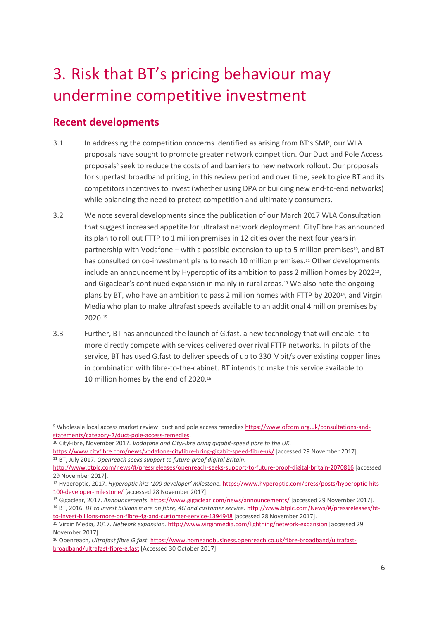# <span id="page-8-0"></span>3. Risk that BT's pricing behaviour may undermine competitive investment

### **Recent developments**

 $\overline{a}$ 

- 3.1 In addressing the competition concerns identified as arising from BT's SMP, our WLA proposals have sought to promote greater network competition. Our Duct and Pole Access proposals<sup>9</sup> seek to reduce the costs of and barriers to new network rollout. Our proposals for superfast broadband pricing, in this review period and over time, seek to give BT and its competitors incentives to invest (whether using DPA or building new end-to-end networks) while balancing the need to protect competition and ultimately consumers.
- 3.2 We note several developments since the publication of our March 2017 WLA Consultation that suggest increased appetite for ultrafast network deployment. CityFibre has announced its plan to roll out FTTP to 1 million premises in 12 cities over the next four years in partnership with Vodafone – with a possible extension to up to 5 million premises<sup>10</sup>, and BT has consulted on co-investment plans to reach 10 million premises.<sup>11</sup> Other developments include an announcement by Hyperoptic of its ambition to pass 2 million homes by 2022<sup>12</sup>, and Gigaclear's continued expansion in mainly in rural areas. <sup>13</sup> We also note the ongoing plans by BT, who have an ambition to pass 2 million homes with FTTP by 2020<sup>14</sup>, and Virgin Media who plan to make ultrafast speeds available to an additional 4 million premises by 2020.<sup>15</sup>
- 3.3 Further, BT has announced the launch of G.fast, a new technology that will enable it to more directly compete with services delivered over rival FTTP networks. In pilots of the service, BT has used G.fast to deliver speeds of up to 330 Mbit/s over existing copper lines in combination with fibre-to-the-cabinet. BT intends to make this service available to 10 million homes by the end of 2020.<sup>16</sup>

<sup>13</sup> Gigaclear, 2017. *Announcements*[. https://www.gigaclear.com/news/announcements/](https://www.gigaclear.com/news/announcements/) [accessed 29 November 2017].

<sup>9</sup> Wholesale local access market review: duct and pole access remedies [https://www.ofcom.org.uk/consultations-and](https://www.ofcom.org.uk/consultations-and-statements/category-2/duct-pole-access-remedies)[statements/category-2/duct-pole-access-remedies.](https://www.ofcom.org.uk/consultations-and-statements/category-2/duct-pole-access-remedies)

<sup>10</sup> CityFibre, November 2017. *Vodafone and CityFibre bring gigabit-speed fibre to the UK.* 

<https://www.cityfibre.com/news/vodafone-cityfibre-bring-gigabit-speed-fibre-uk/> [accessed 29 November 2017]. <sup>11</sup> BT, July 2017. *Openreach seeks support to future-proof digital Britain.* 

<http://www.btplc.com/news/#/pressreleases/openreach-seeks-support-to-future-proof-digital-britain-2070816> [accessed 29 November 2017].

<sup>12</sup> Hyperoptic, 2017. *Hyperoptic hits '100 developer' milestone.* [https://www.hyperoptic.com/press/posts/hyperoptic-hits-](https://www.hyperoptic.com/press/posts/hyperoptic-hits-100-developer-milestone/)[100-developer-milestone/](https://www.hyperoptic.com/press/posts/hyperoptic-hits-100-developer-milestone/) [accessed 28 November 2017].

<sup>14</sup> BT, 2016. *BT to invest billions more on fibre, 4G and customer service.* [http://www.btplc.com/News/#/pressreleases/bt](http://www.btplc.com/News/#/pressreleases/bt-to-invest-billions-more-on-fibre-4g-and-customer-service-1394948)[to-invest-billions-more-on-fibre-4g-and-customer-service-1394948](http://www.btplc.com/News/#/pressreleases/bt-to-invest-billions-more-on-fibre-4g-and-customer-service-1394948) [accessed 28 November 2017].

<sup>15</sup> Virgin Media, 2017. *Network expansion.* <http://www.virginmedia.com/lightning/network-expansion> [accessed 29 November 2017].

<sup>16</sup> Openreach, *Ultrafast fibre G.fast*[. https://www.homeandbusiness.openreach.co.uk/fibre-broadband/ultrafast](https://www.homeandbusiness.openreach.co.uk/fibre-broadband/ultrafast-broadband/ultrafast-fibre-g.fast)[broadband/ultrafast-fibre-g.fast](https://www.homeandbusiness.openreach.co.uk/fibre-broadband/ultrafast-broadband/ultrafast-fibre-g.fast) [Accessed 30 October 2017].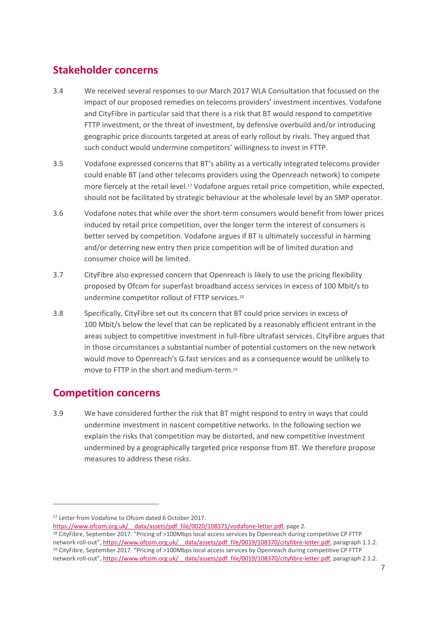### **Stakeholder concerns**

- 3.4 We received several responses to our March 2017 WLA Consultation that focussed on the impact of our proposed remedies on telecoms providers' investment incentives. Vodafone and CityFibre in particular said that there is a risk that BT would respond to competitive FTTP investment, or the threat of investment, by defensive overbuild and/or introducing geographic price discounts targeted at areas of early rollout by rivals. They argued that such conduct would undermine competitors' willingness to invest in FTTP.
- 3.5 Vodafone expressed concerns that BT's ability as a vertically integrated telecoms provider could enable BT (and other telecoms providers using the Openreach network) to compete more fiercely at the retail level.<sup>17</sup> Vodafone argues retail price competition, while expected, should not be facilitated by strategic behaviour at the wholesale level by an SMP operator.
- 3.6 Vodafone notes that while over the short-term consumers would benefit from lower prices induced by retail price competition, over the longer term the interest of consumers is better served by competition. Vodafone argues if BT is ultimately successful in harming and/or deterring new entry then price competition will be of limited duration and consumer choice will be limited.
- 3.7 CityFibre also expressed concern that Openreach is likely to use the pricing flexibility proposed by Ofcom for superfast broadband access services in excess of 100 Mbit/s to undermine competitor rollout of FTTP services.<sup>18</sup>
- 3.8 Specifically, CityFibre set out its concern that BT could price services in excess of 100 Mbit/s below the level that can be replicated by a reasonably efficient entrant in the areas subject to competitive investment in full-fibre ultrafast services. CityFibre argues that in those circumstances a substantial number of potential customers on the new network would move to Openreach's G.fast services and as a consequence would be unlikely to move to FTTP in the short and medium-term.<sup>19</sup>

#### **Competition concerns**

 $\overline{a}$ 

3.9 We have considered further the risk that BT might respond to entry in ways that could undermine investment in nascent competitive networks. In the following section we explain the risks that competition may be distorted, and new competitive investment undermined by a geographically targeted price response from BT. We therefore propose measures to address these risks.

<sup>17</sup> Letter from Vodafone to Ofcom dated 6 October 2017.

https://www.ofcom.org.uk/ data/assets/pdf\_file/0020/108371/vodafone-letter.pdf, page 2.

<sup>18</sup> CityFibre, September 2017. "Pricing of >100Mbps local access services by Openreach during competitive CP FTTP network roll-out", https://www.ofcom.org.uk/ data/assets/pdf file/0019/108370/cityfibre-letter.pdf, paragraph 1.1.2. <sup>19</sup> CityFibre, September 2017. "Pricing of >100Mbps local access services by Openreach during competitive CP FTTP network roll-out", https://www.ofcom.org.uk/ data/assets/pdf file/0019/108370/cityfibre-letter.pdf, paragraph 2.1.2.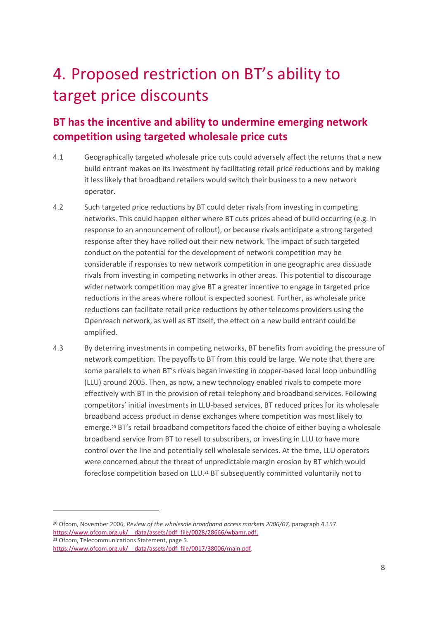# <span id="page-10-0"></span>4. Proposed restriction on BT's ability to target price discounts

## **BT has the incentive and ability to undermine emerging network competition using targeted wholesale price cuts**

- 4.1 Geographically targeted wholesale price cuts could adversely affect the returns that a new build entrant makes on its investment by facilitating retail price reductions and by making it less likely that broadband retailers would switch their business to a new network operator.
- 4.2 Such targeted price reductions by BT could deter rivals from investing in competing networks. This could happen either where BT cuts prices ahead of build occurring (e.g. in response to an announcement of rollout), or because rivals anticipate a strong targeted response after they have rolled out their new network. The impact of such targeted conduct on the potential for the development of network competition may be considerable if responses to new network competition in one geographic area dissuade rivals from investing in competing networks in other areas. This potential to discourage wider network competition may give BT a greater incentive to engage in targeted price reductions in the areas where rollout is expected soonest. Further, as wholesale price reductions can facilitate retail price reductions by other telecoms providers using the Openreach network, as well as BT itself, the effect on a new build entrant could be amplified.
- 4.3 By deterring investments in competing networks, BT benefits from avoiding the pressure of network competition. The payoffs to BT from this could be large. We note that there are some parallels to when BT's rivals began investing in copper-based local loop unbundling (LLU) around 2005. Then, as now, a new technology enabled rivals to compete more effectively with BT in the provision of retail telephony and broadband services. Following competitors' initial investments in LLU-based services, BT reduced prices for its wholesale broadband access product in dense exchanges where competition was most likely to emerge.<sup>20</sup> BT's retail broadband competitors faced the choice of either buying a wholesale broadband service from BT to resell to subscribers, or investing in LLU to have more control over the line and potentially sell wholesale services. At the time, LLU operators were concerned about the threat of unpredictable margin erosion by BT which would foreclose competition based on LLU. <sup>21</sup> BT subsequently committed voluntarily not to

<sup>&</sup>lt;sup>20</sup> Ofcom, November 2006, *Review of the wholesale broadband access markets 2006/07*, paragraph 4.157. https://www.ofcom.org.uk/ data/assets/pdf\_file/0028/28666/wbamr.pdf.

<sup>21</sup> Ofcom, Telecommunications Statement, page 5. https://www.ofcom.org.uk/ data/assets/pdf file/0017/38006/main.pdf.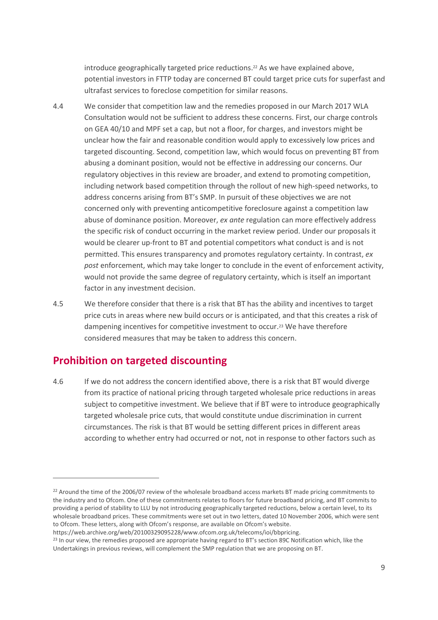introduce geographically targeted price reductions. <sup>22</sup> As we have explained above, potential investors in FTTP today are concerned BT could target price cuts for superfast and ultrafast services to foreclose competition for similar reasons.

- 4.4 We consider that competition law and the remedies proposed in our March 2017 WLA Consultation would not be sufficient to address these concerns. First, our charge controls on GEA 40/10 and MPF set a cap, but not a floor, for charges, and investors might be unclear how the fair and reasonable condition would apply to excessively low prices and targeted discounting. Second, competition law, which would focus on preventing BT from abusing a dominant position, would not be effective in addressing our concerns. Our regulatory objectives in this review are broader, and extend to promoting competition, including network based competition through the rollout of new high-speed networks, to address concerns arising from BT's SMP. In pursuit of these objectives we are not concerned only with preventing anticompetitive foreclosure against a competition law abuse of dominance position. Moreover, *ex ante* regulation can more effectively address the specific risk of conduct occurring in the market review period. Under our proposals it would be clearer up-front to BT and potential competitors what conduct is and is not permitted. This ensures transparency and promotes regulatory certainty. In contrast, *ex post* enforcement, which may take longer to conclude in the event of enforcement activity, would not provide the same degree of regulatory certainty, which is itself an important factor in any investment decision.
- 4.5 We therefore consider that there is a risk that BT has the ability and incentives to target price cuts in areas where new build occurs or is anticipated, and that this creates a risk of dampening incentives for competitive investment to occur.<sup>23</sup> We have therefore considered measures that may be taken to address this concern.

#### **Prohibition on targeted discounting**

 $\overline{a}$ 

4.6 If we do not address the concern identified above, there is a risk that BT would diverge from its practice of national pricing through targeted wholesale price reductions in areas subject to competitive investment. We believe that if BT were to introduce geographically targeted wholesale price cuts, that would constitute undue discrimination in current circumstances. The risk is that BT would be setting different prices in different areas according to whether entry had occurred or not, not in response to other factors such as

 $22$  Around the time of the 2006/07 review of the wholesale broadband access markets BT made pricing commitments to the industry and to Ofcom. One of these commitments relates to floors for future broadband pricing, and BT commits to providing a period of stability to LLU by not introducing geographically targeted reductions, below a certain level, to its wholesale broadband prices. These commitments were set out in two letters, dated 10 November 2006, which were sent to Ofcom. These letters, along with Ofcom's response, are available on Ofcom's website.

https://web.archive.org/web/20100329095228/www.ofcom.org.uk/telecoms/ioi/bbpricing.

<sup>&</sup>lt;sup>23</sup> In our view, the remedies proposed are appropriate having regard to BT's section 89C Notification which, like the Undertakings in previous reviews, will complement the SMP regulation that we are proposing on BT.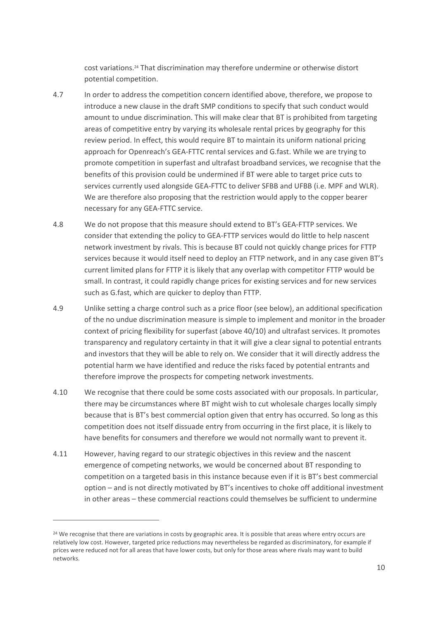cost variations.<sup>24</sup> That discrimination may therefore undermine or otherwise distort potential competition.

- 4.7 In order to address the competition concern identified above, therefore, we propose to introduce a new clause in the draft SMP conditions to specify that such conduct would amount to undue discrimination. This will make clear that BT is prohibited from targeting areas of competitive entry by varying its wholesale rental prices by geography for this review period. In effect, this would require BT to maintain its uniform national pricing approach for Openreach's GEA-FTTC rental services and G.fast. While we are trying to promote competition in superfast and ultrafast broadband services, we recognise that the benefits of this provision could be undermined if BT were able to target price cuts to services currently used alongside GEA-FTTC to deliver SFBB and UFBB (i.e. MPF and WLR). We are therefore also proposing that the restriction would apply to the copper bearer necessary for any GEA-FTTC service.
- 4.8 We do not propose that this measure should extend to BT's GEA-FTTP services. We consider that extending the policy to GEA-FTTP services would do little to help nascent network investment by rivals. This is because BT could not quickly change prices for FTTP services because it would itself need to deploy an FTTP network, and in any case given BT's current limited plans for FTTP it is likely that any overlap with competitor FTTP would be small. In contrast, it could rapidly change prices for existing services and for new services such as G.fast, which are quicker to deploy than FTTP.
- 4.9 Unlike setting a charge control such as a price floor (see below), an additional specification of the no undue discrimination measure is simple to implement and monitor in the broader context of pricing flexibility for superfast (above 40/10) and ultrafast services. It promotes transparency and regulatory certainty in that it will give a clear signal to potential entrants and investors that they will be able to rely on. We consider that it will directly address the potential harm we have identified and reduce the risks faced by potential entrants and therefore improve the prospects for competing network investments.
- 4.10 We recognise that there could be some costs associated with our proposals. In particular, there may be circumstances where BT might wish to cut wholesale charges locally simply because that is BT's best commercial option given that entry has occurred. So long as this competition does not itself dissuade entry from occurring in the first place, it is likely to have benefits for consumers and therefore we would not normally want to prevent it.
- 4.11 However, having regard to our strategic objectives in this review and the nascent emergence of competing networks, we would be concerned about BT responding to competition on a targeted basis in this instance because even if it is BT's best commercial option – and is not directly motivated by BT's incentives to choke off additional investment in other areas – these commercial reactions could themselves be sufficient to undermine

<sup>&</sup>lt;sup>24</sup> We recognise that there are variations in costs by geographic area. It is possible that areas where entry occurs are relatively low cost. However, targeted price reductions may nevertheless be regarded as discriminatory, for example if prices were reduced not for all areas that have lower costs, but only for those areas where rivals may want to build networks.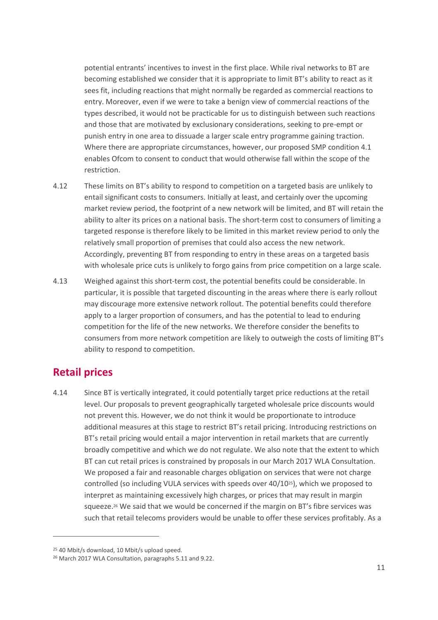potential entrants' incentives to invest in the first place. While rival networks to BT are becoming established we consider that it is appropriate to limit BT's ability to react as it sees fit, including reactions that might normally be regarded as commercial reactions to entry. Moreover, even if we were to take a benign view of commercial reactions of the types described, it would not be practicable for us to distinguish between such reactions and those that are motivated by exclusionary considerations, seeking to pre-empt or punish entry in one area to dissuade a larger scale entry programme gaining traction. Where there are appropriate circumstances, however, our proposed SMP condition 4.1 enables Ofcom to consent to conduct that would otherwise fall within the scope of the restriction.

- 4.12 These limits on BT's ability to respond to competition on a targeted basis are unlikely to entail significant costs to consumers. Initially at least, and certainly over the upcoming market review period, the footprint of a new network will be limited, and BT will retain the ability to alter its prices on a national basis. The short-term cost to consumers of limiting a targeted response is therefore likely to be limited in this market review period to only the relatively small proportion of premises that could also access the new network. Accordingly, preventing BT from responding to entry in these areas on a targeted basis with wholesale price cuts is unlikely to forgo gains from price competition on a large scale.
- 4.13 Weighed against this short-term cost, the potential benefits could be considerable. In particular, it is possible that targeted discounting in the areas where there is early rollout may discourage more extensive network rollout. The potential benefits could therefore apply to a larger proportion of consumers, and has the potential to lead to enduring competition for the life of the new networks. We therefore consider the benefits to consumers from more network competition are likely to outweigh the costs of limiting BT's ability to respond to competition.

#### **Retail prices**

 $\overline{a}$ 

4.14 Since BT is vertically integrated, it could potentially target price reductions at the retail level. Our proposals to prevent geographically targeted wholesale price discounts would not prevent this. However, we do not think it would be proportionate to introduce additional measures at this stage to restrict BT's retail pricing. Introducing restrictions on BT's retail pricing would entail a major intervention in retail markets that are currently broadly competitive and which we do not regulate. We also note that the extent to which BT can cut retail prices is constrained by proposals in our March 2017 WLA Consultation. We proposed a fair and reasonable charges obligation on services that were not charge controlled (so including VULA services with speeds over  $40/10^{25}$ ), which we proposed to interpret as maintaining excessively high charges, or prices that may result in margin squeeze.<sup>26</sup> We said that we would be concerned if the margin on BT's fibre services was such that retail telecoms providers would be unable to offer these services profitably. As a

<sup>25</sup> 40 Mbit/s download, 10 Mbit/s upload speed.

<sup>26</sup> March 2017 WLA Consultation, paragraphs 5.11 and 9.22.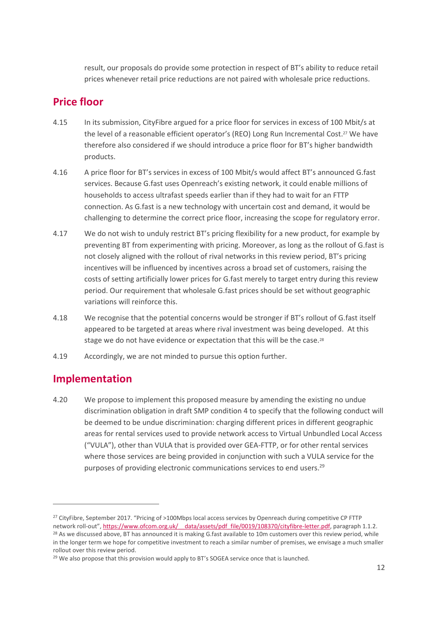result, our proposals do provide some protection in respect of BT's ability to reduce retail prices whenever retail price reductions are not paired with wholesale price reductions.

### **Price floor**

- 4.15 In its submission, CityFibre argued for a price floor for services in excess of 100 Mbit/s at the level of a reasonable efficient operator's (REO) Long Run Incremental Cost.<sup>27</sup> We have therefore also considered if we should introduce a price floor for BT's higher bandwidth products.
- 4.16 A price floor for BT's services in excess of 100 Mbit/s would affect BT's announced G.fast services. Because G.fast uses Openreach's existing network, it could enable millions of households to access ultrafast speeds earlier than if they had to wait for an FTTP connection. As G.fast is a new technology with uncertain cost and demand, it would be challenging to determine the correct price floor, increasing the scope for regulatory error.
- 4.17 We do not wish to unduly restrict BT's pricing flexibility for a new product, for example by preventing BT from experimenting with pricing. Moreover, as long as the rollout of G.fast is not closely aligned with the rollout of rival networks in this review period, BT's pricing incentives will be influenced by incentives across a broad set of customers, raising the costs of setting artificially lower prices for G.fast merely to target entry during this review period. Our requirement that wholesale G.fast prices should be set without geographic variations will reinforce this.
- 4.18 We recognise that the potential concerns would be stronger if BT's rollout of G.fast itself appeared to be targeted at areas where rival investment was being developed. At this stage we do not have evidence or expectation that this will be the case.<sup>28</sup>
- 4.19 Accordingly, we are not minded to pursue this option further.

### **Implementation**

 $\overline{a}$ 

4.20 We propose to implement this proposed measure by amending the existing no undue discrimination obligation in draft SMP condition 4 to specify that the following conduct will be deemed to be undue discrimination: charging different prices in different geographic areas for rental services used to provide network access to Virtual Unbundled Local Access ("VULA"), other than VULA that is provided over GEA-FTTP, or for other rental services where those services are being provided in conjunction with such a VULA service for the purposes of providing electronic communications services to end users.<sup>29</sup>

<sup>&</sup>lt;sup>27</sup> CityFibre, September 2017. "Pricing of >100Mbps local access services by Openreach during competitive CP FTTP

network roll-out", https://www.ofcom.org.uk/ data/assets/pdf\_file/0019/108370/cityfibre-letter.pdf, paragraph 1.1.2. <sup>28</sup> As we discussed above, BT has announced it is making G.fast available to 10m customers over this review period, while in the longer term we hope for competitive investment to reach a similar number of premises, we envisage a much smaller rollout over this review period.

 $29$  We also propose that this provision would apply to BT's SOGEA service once that is launched.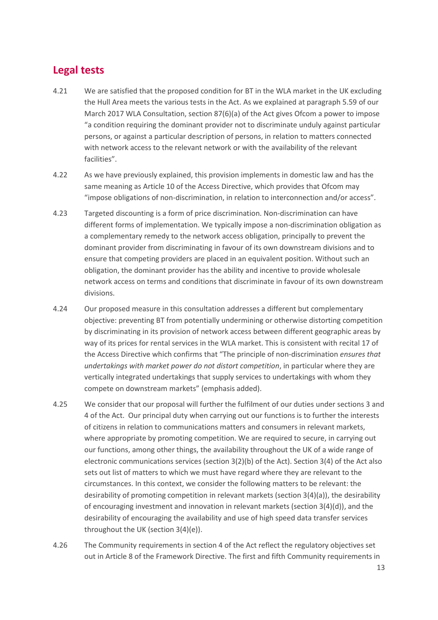#### **Legal tests**

- 4.21 We are satisfied that the proposed condition for BT in the WLA market in the UK excluding the Hull Area meets the various tests in the Act. As we explained at paragraph 5.59 of our March 2017 WLA Consultation, section 87(6)(a) of the Act gives Ofcom a power to impose "a condition requiring the dominant provider not to discriminate unduly against particular persons, or against a particular description of persons, in relation to matters connected with network access to the relevant network or with the availability of the relevant facilities".
- 4.22 As we have previously explained, this provision implements in domestic law and has the same meaning as Article 10 of the Access Directive, which provides that Ofcom may "impose obligations of non-discrimination, in relation to interconnection and/or access".
- 4.23 Targeted discounting is a form of price discrimination. Non-discrimination can have different forms of implementation. We typically impose a non-discrimination obligation as a complementary remedy to the network access obligation, principally to prevent the dominant provider from discriminating in favour of its own downstream divisions and to ensure that competing providers are placed in an equivalent position. Without such an obligation, the dominant provider has the ability and incentive to provide wholesale network access on terms and conditions that discriminate in favour of its own downstream divisions.
- 4.24 Our proposed measure in this consultation addresses a different but complementary objective: preventing BT from potentially undermining or otherwise distorting competition by discriminating in its provision of network access between different geographic areas by way of its prices for rental services in the WLA market. This is consistent with recital 17 of the Access Directive which confirms that "The principle of non-discrimination *ensures that undertakings with market power do not distort competition*, in particular where they are vertically integrated undertakings that supply services to undertakings with whom they compete on downstream markets" (emphasis added).
- 4.25 We consider that our proposal will further the fulfilment of our duties under sections 3 and 4 of the Act. Our principal duty when carrying out our functions is to further the interests of citizens in relation to communications matters and consumers in relevant markets, where appropriate by promoting competition. We are required to secure, in carrying out our functions, among other things, the availability throughout the UK of a wide range of electronic communications services (section 3(2)(b) of the Act). Section 3(4) of the Act also sets out list of matters to which we must have regard where they are relevant to the circumstances. In this context, we consider the following matters to be relevant: the desirability of promoting competition in relevant markets (section 3(4)(a)), the desirability of encouraging investment and innovation in relevant markets (section 3(4)(d)), and the desirability of encouraging the availability and use of high speed data transfer services throughout the UK (section 3(4)(e)).
- 4.26 The Community requirements in section 4 of the Act reflect the regulatory objectives set out in Article 8 of the Framework Directive. The first and fifth Community requirements in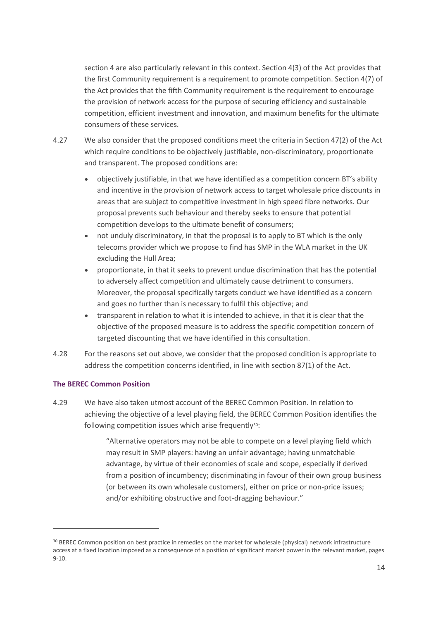section 4 are also particularly relevant in this context. Section 4(3) of the Act provides that the first Community requirement is a requirement to promote competition. Section 4(7) of the Act provides that the fifth Community requirement is the requirement to encourage the provision of network access for the purpose of securing efficiency and sustainable competition, efficient investment and innovation, and maximum benefits for the ultimate consumers of these services.

- 4.27 We also consider that the proposed conditions meet the criteria in Section 47(2) of the Act which require conditions to be objectively justifiable, non-discriminatory, proportionate and transparent. The proposed conditions are:
	- objectively justifiable, in that we have identified as a competition concern BT's ability and incentive in the provision of network access to target wholesale price discounts in areas that are subject to competitive investment in high speed fibre networks. Our proposal prevents such behaviour and thereby seeks to ensure that potential competition develops to the ultimate benefit of consumers;
	- not unduly discriminatory, in that the proposal is to apply to BT which is the only telecoms provider which we propose to find has SMP in the WLA market in the UK excluding the Hull Area;
	- proportionate, in that it seeks to prevent undue discrimination that has the potential to adversely affect competition and ultimately cause detriment to consumers. Moreover, the proposal specifically targets conduct we have identified as a concern and goes no further than is necessary to fulfil this objective; and
	- transparent in relation to what it is intended to achieve, in that it is clear that the objective of the proposed measure is to address the specific competition concern of targeted discounting that we have identified in this consultation.
- 4.28 For the reasons set out above, we consider that the proposed condition is appropriate to address the competition concerns identified, in line with section 87(1) of the Act.

#### **The BEREC Common Position**

 $\overline{a}$ 

4.29 We have also taken utmost account of the BEREC Common Position. In relation to achieving the objective of a level playing field, the BEREC Common Position identifies the following competition issues which arise frequently<sup>30</sup>:

> "Alternative operators may not be able to compete on a level playing field which may result in SMP players: having an unfair advantage; having unmatchable advantage, by virtue of their economies of scale and scope, especially if derived from a position of incumbency; discriminating in favour of their own group business (or between its own wholesale customers), either on price or non-price issues; and/or exhibiting obstructive and foot-dragging behaviour."

<sup>30</sup> BEREC Common position on best practice in remedies on the market for wholesale (physical) network infrastructure access at a fixed location imposed as a consequence of a position of significant market power in the relevant market, pages 9-10.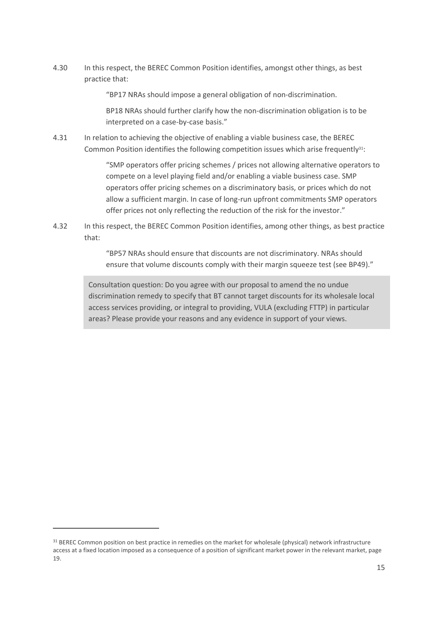4.30 In this respect, the BEREC Common Position identifies, amongst other things, as best practice that:

"BP17 NRAs should impose a general obligation of non-discrimination.

BP18 NRAs should further clarify how the non-discrimination obligation is to be interpreted on a case-by-case basis."

4.31 In relation to achieving the objective of enabling a viable business case, the BEREC Common Position identifies the following competition issues which arise frequently<sup>31</sup>:

> "SMP operators offer pricing schemes / prices not allowing alternative operators to compete on a level playing field and/or enabling a viable business case. SMP operators offer pricing schemes on a discriminatory basis, or prices which do not allow a sufficient margin. In case of long-run upfront commitments SMP operators offer prices not only reflecting the reduction of the risk for the investor."

4.32 In this respect, the BEREC Common Position identifies, among other things, as best practice that:

> "BP57 NRAs should ensure that discounts are not discriminatory. NRAs should ensure that volume discounts comply with their margin squeeze test (see BP49)."

Consultation question: Do you agree with our proposal to amend the no undue discrimination remedy to specify that BT cannot target discounts for its wholesale local access services providing, or integral to providing, VULA (excluding FTTP) in particular areas? Please provide your reasons and any evidence in support of your views.

<sup>&</sup>lt;sup>31</sup> BEREC Common position on best practice in remedies on the market for wholesale (physical) network infrastructure access at a fixed location imposed as a consequence of a position of significant market power in the relevant market, page 19.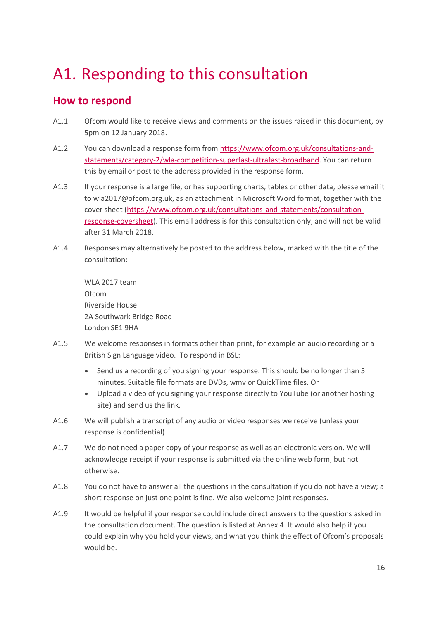# <span id="page-18-0"></span>A1. Responding to this consultation

### **How to respond**

- A1.1 Ofcom would like to receive views and comments on the issues raised in this document, by 5pm on 12 January 2018.
- A1.2 You can download a response form from [https://www.ofcom.org.uk/consultations-and](https://www.ofcom.org.uk/consultations-and-statements/category-2/wla-competition-superfast-ultrafast-broadband)[statements/category-2/wla-competition-superfast-ultrafast-broadband.](https://www.ofcom.org.uk/consultations-and-statements/category-2/wla-competition-superfast-ultrafast-broadband) You can return this by email or post to the address provided in the response form.
- A1.3 If your response is a large file, or has supporting charts, tables or other data, please email it to wla2017@ofcom.org.uk, as an attachment in Microsoft Word format, together with the cover sheet [\(https://www.ofcom.org.uk/consultations-and-statements/consultation](https://www.ofcom.org.uk/consultations-and-statements/consultation-response-coversheet)[response-coversheet\)](https://www.ofcom.org.uk/consultations-and-statements/consultation-response-coversheet). This email address is for this consultation only, and will not be valid after 31 March 2018.
- A1.4 Responses may alternatively be posted to the address below, marked with the title of the consultation:

WLA 2017 team Ofcom Riverside House 2A Southwark Bridge Road London SE1 9HA

- A1.5 We welcome responses in formats other than print, for example an audio recording or a British Sign Language video. To respond in BSL:
	- Send us a recording of you signing your response. This should be no longer than 5 minutes. Suitable file formats are DVDs, wmv or QuickTime files. Or
	- Upload a video of you signing your response directly to YouTube (or another hosting site) and send us the link.
- A1.6 We will publish a transcript of any audio or video responses we receive (unless your response is confidential)
- A1.7 We do not need a paper copy of your response as well as an electronic version. We will acknowledge receipt if your response is submitted via the online web form, but not otherwise.
- A1.8 You do not have to answer all the questions in the consultation if you do not have a view; a short response on just one point is fine. We also welcome joint responses.
- A1.9 It would be helpful if your response could include direct answers to the questions asked in the consultation document. The question is listed at Annex 4. It would also help if you could explain why you hold your views, and what you think the effect of Ofcom's proposals would be.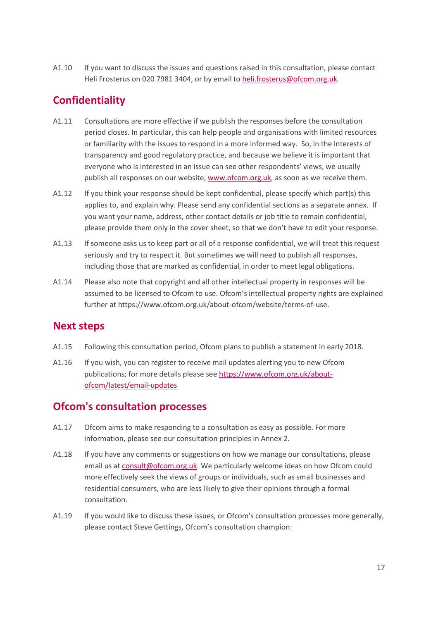A1.10 If you want to discuss the issues and questions raised in this consultation, please contact Heli Frosterus on 020 7981 3404, or by email to [heli.frosterus@ofcom.org.uk.](mailto:heli.frosterus@ofcom.org.uk)

### **Confidentiality**

- A1.11 Consultations are more effective if we publish the responses before the consultation period closes. In particular, this can help people and organisations with limited resources or familiarity with the issues to respond in a more informed way. So, in the interests of transparency and good regulatory practice, and because we believe it is important that everyone who is interested in an issue can see other respondents' views, we usually publish all responses on our website, [www.ofcom.org.uk,](http://www.ofcom.org.uk/) as soon as we receive them.
- A1.12 If you think your response should be kept confidential, please specify which part(s) this applies to, and explain why. Please send any confidential sections as a separate annex. If you want your name, address, other contact details or job title to remain confidential, please provide them only in the cover sheet, so that we don't have to edit your response.
- A1.13 If someone asks us to keep part or all of a response confidential, we will treat this request seriously and try to respect it. But sometimes we will need to publish all responses, including those that are marked as confidential, in order to meet legal obligations.
- A1.14 Please also note that copyright and all other intellectual property in responses will be assumed to be licensed to Ofcom to use. Ofcom's intellectual property rights are explained further at https://www.ofcom.org.uk/about-ofcom/website/terms-of-use.

### **Next steps**

- A1.15 Following this consultation period, Ofcom plans to publish a statement in early 2018.
- A1.16 If you wish, you can register to receive mail updates alerting you to new Ofcom publications; for more details please se[e https://www.ofcom.org.uk/about](https://www.ofcom.org.uk/about-ofcom/latest/email-updates)[ofcom/latest/email-updates](https://www.ofcom.org.uk/about-ofcom/latest/email-updates)

### **Ofcom's consultation processes**

- A1.17 Ofcom aims to make responding to a consultation as easy as possible. For more information, please see our consultation principles in Annex 2.
- A1.18 If you have any comments or suggestions on how we manage our consultations, please email us a[t consult@ofcom.org.uk.](mailto:consult@ofcom.org.uk) We particularly welcome ideas on how Ofcom could more effectively seek the views of groups or individuals, such as small businesses and residential consumers, who are less likely to give their opinions through a formal consultation.
- A1.19 If you would like to discuss these issues, or Ofcom's consultation processes more generally, please contact Steve Gettings, Ofcom's consultation champion: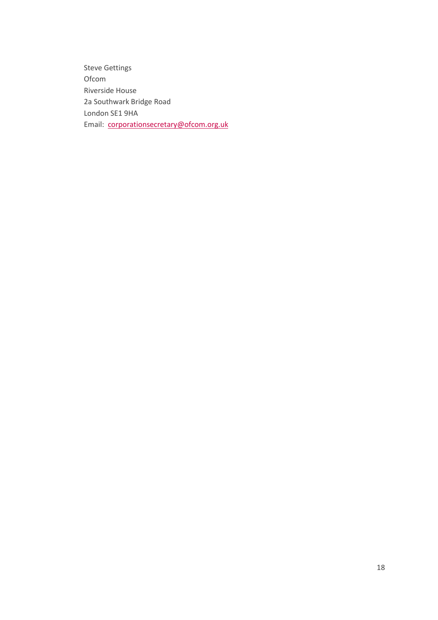Steve Gettings Ofcom Riverside House 2a Southwark Bridge Road London SE1 9HA Email: corporationsecretary@ofcom.org.uk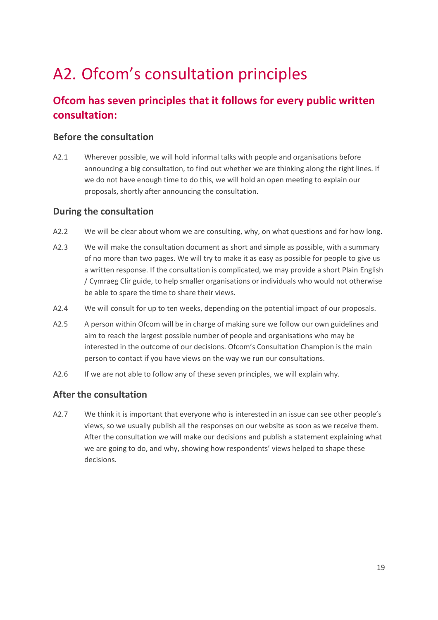# <span id="page-21-0"></span>A2. Ofcom's consultation principles

## **Ofcom has seven principles that it follows for every public written consultation:**

#### **Before the consultation**

A2.1 Wherever possible, we will hold informal talks with people and organisations before announcing a big consultation, to find out whether we are thinking along the right lines. If we do not have enough time to do this, we will hold an open meeting to explain our proposals, shortly after announcing the consultation.

#### **During the consultation**

- A2.2 We will be clear about whom we are consulting, why, on what questions and for how long.
- A2.3 We will make the consultation document as short and simple as possible, with a summary of no more than two pages. We will try to make it as easy as possible for people to give us a written response. If the consultation is complicated, we may provide a short Plain English / Cymraeg Clir guide, to help smaller organisations or individuals who would not otherwise be able to spare the time to share their views.
- A2.4 We will consult for up to ten weeks, depending on the potential impact of our proposals.
- A2.5 A person within Ofcom will be in charge of making sure we follow our own guidelines and aim to reach the largest possible number of people and organisations who may be interested in the outcome of our decisions. Ofcom's Consultation Champion is the main person to contact if you have views on the way we run our consultations.
- A2.6 If we are not able to follow any of these seven principles, we will explain why.

#### **After the consultation**

A2.7 We think it is important that everyone who is interested in an issue can see other people's views, so we usually publish all the responses on our website as soon as we receive them. After the consultation we will make our decisions and publish a statement explaining what we are going to do, and why, showing how respondents' views helped to shape these decisions.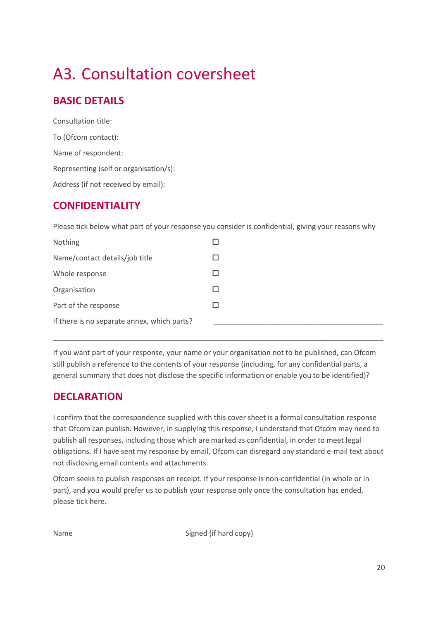# <span id="page-22-0"></span>A3. Consultation coversheet

## **BASIC DETAILS**

Consultation title: To (Ofcom contact): Name of respondent: Representing (self or organisation/s): Address (if not received by email):

### **CONFIDENTIALITY**

Please tick below what part of your response you consider is confidential, giving your reasons why

If you want part of your response, your name or your organisation not to be published, can Ofcom still publish a reference to the contents of your response (including, for any confidential parts, a general summary that does not disclose the specific information or enable you to be identified)?

\_\_\_\_\_\_\_\_\_\_\_\_\_\_\_\_\_\_\_\_\_\_\_\_\_\_\_\_\_\_\_\_\_\_\_\_\_\_\_\_\_\_\_\_\_\_\_\_\_\_\_\_\_\_\_\_\_\_\_\_\_\_\_\_\_\_\_\_\_\_\_\_\_\_\_\_\_\_\_\_\_\_

## **DECLARATION**

I confirm that the correspondence supplied with this cover sheet is a formal consultation response that Ofcom can publish. However, in supplying this response, I understand that Ofcom may need to publish all responses, including those which are marked as confidential, in order to meet legal obligations. If I have sent my response by email, Ofcom can disregard any standard e-mail text about not disclosing email contents and attachments.

Ofcom seeks to publish responses on receipt. If your response is non-confidential (in whole or in part), and you would prefer us to publish your response only once the consultation has ended, please tick here.

Name Signed (if hard copy)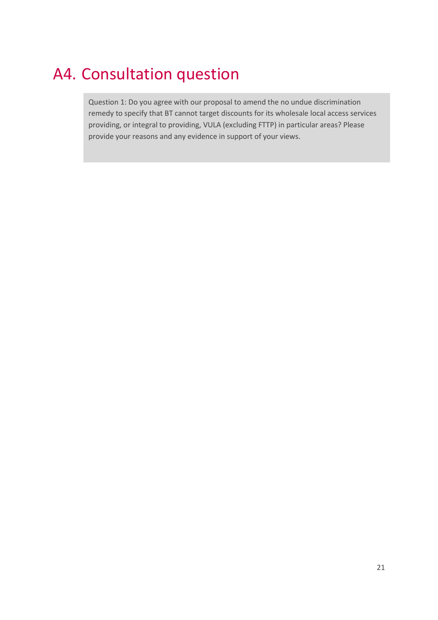## <span id="page-23-0"></span>A4. Consultation question

Question 1: Do you agree with our proposal to amend the no undue discrimination remedy to specify that BT cannot target discounts for its wholesale local access services providing, or integral to providing, VULA (excluding FTTP) in particular areas? Please provide your reasons and any evidence in support of your views.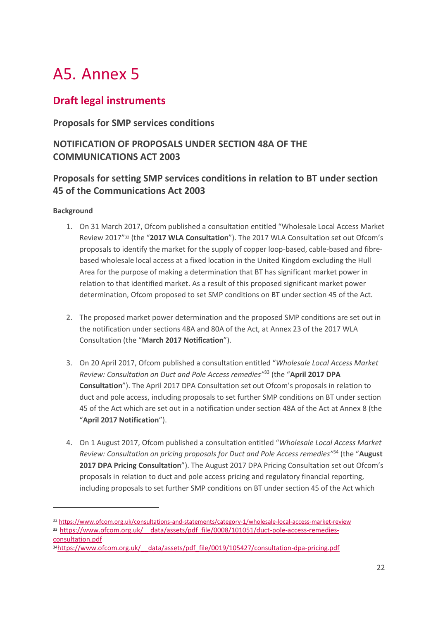# A5. Annex 5

### **Draft legal instruments**

#### **Proposals for SMP services conditions**

#### **NOTIFICATION OF PROPOSALS UNDER SECTION 48A OF THE COMMUNICATIONS ACT 2003**

#### **Proposals for setting SMP services conditions in relation to BT under section 45 of the Communications Act 2003**

#### **Background**

- 1. On 31 March 2017, Ofcom published a consultation entitled "Wholesale Local Access Market Review 2017"<sup>32</sup> (the "**2017 WLA Consultation**"). The 2017 WLA Consultation set out Ofcom's proposals to identify the market for the supply of copper loop-based, cable-based and fibrebased wholesale local access at a fixed location in the United Kingdom excluding the Hull Area for the purpose of making a determination that BT has significant market power in relation to that identified market. As a result of this proposed significant market power determination, Ofcom proposed to set SMP conditions on BT under section 45 of the Act.
- 2. The proposed market power determination and the proposed SMP conditions are set out in the notification under sections 48A and 80A of the Act, at Annex 23 of the 2017 WLA Consultation (the "**March 2017 Notification**").
- 3. On 20 April 2017, Ofcom published a consultation entitled "*Wholesale Local Access Market Review: Consultation on Duct and Pole Access remedies"*<sup>33</sup> (the "**April 2017 DPA Consultation**"). The April 2017 DPA Consultation set out Ofcom's proposals in relation to duct and pole access, including proposals to set further SMP conditions on BT under section 45 of the Act which are set out in a notification under section 48A of the Act at Annex 8 (the "**April 2017 Notification**").
- 4. On 1 August 2017, Ofcom published a consultation entitled "*Wholesale Local Access Market Review: Consultation on pricing proposals for Duct and Pole Access remedies"*<sup>34</sup> (the "**August 2017 DPA Pricing Consultation**"). The August 2017 DPA Pricing Consultation set out Ofcom's proposals in relation to duct and pole access pricing and regulatory financial reporting, including proposals to set further SMP conditions on BT under section 45 of the Act which

<sup>32</sup> <https://www.ofcom.org.uk/consultations-and-statements/category-1/wholesale-local-access-market-review> 33 https://www.ofcom.org.uk/ data/assets/pdf file/0008/101051/duct-pole-access-remedies-

[consultation.pdf](https://www.ofcom.org.uk/__data/assets/pdf_file/0008/101051/duct-pole-access-remedies-consultation.pdf)

<sup>34</sup>https://www.ofcom.org.uk/ data/assets/pdf file/0019/105427/consultation-dpa-pricing.pdf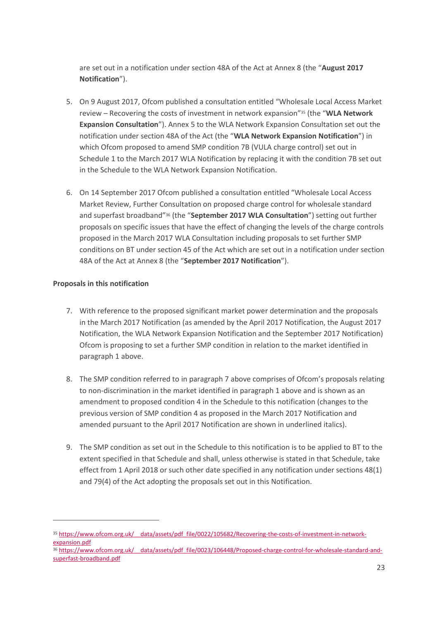are set out in a notification under section 48A of the Act at Annex 8 (the "**August 2017 Notification**").

- 5. On 9 August 2017, Ofcom published a consultation entitled "Wholesale Local Access Market review – Recovering the costs of investment in network expansion"<sup>35</sup> (the "**WLA Network Expansion Consultation**"). Annex 5 to the WLA Network Expansion Consultation set out the notification under section 48A of the Act (the "**WLA Network Expansion Notification**") in which Ofcom proposed to amend SMP condition 7B (VULA charge control) set out in Schedule 1 to the March 2017 WLA Notification by replacing it with the condition 7B set out in the Schedule to the WLA Network Expansion Notification.
- 6. On 14 September 2017 Ofcom published a consultation entitled "Wholesale Local Access Market Review, Further Consultation on proposed charge control for wholesale standard and superfast broadband"<sup>36</sup> (the "**September 2017 WLA Consultation**") setting out further proposals on specific issues that have the effect of changing the levels of the charge controls proposed in the March 2017 WLA Consultation including proposals to set further SMP conditions on BT under section 45 of the Act which are set out in a notification under section 48A of the Act at Annex 8 (the "**September 2017 Notification**").

#### **Proposals in this notification**

- 7. With reference to the proposed significant market power determination and the proposals in the March 2017 Notification (as amended by the April 2017 Notification, the August 2017 Notification, the WLA Network Expansion Notification and the September 2017 Notification) Ofcom is proposing to set a further SMP condition in relation to the market identified in paragraph 1 above.
- 8. The SMP condition referred to in paragraph 7 above comprises of Ofcom's proposals relating to non-discrimination in the market identified in paragraph 1 above and is shown as an amendment to proposed condition 4 in the Schedule to this notification (changes to the previous version of SMP condition 4 as proposed in the March 2017 Notification and amended pursuant to the April 2017 Notification are shown in underlined italics).
- 9. The SMP condition as set out in the Schedule to this notification is to be applied to BT to the extent specified in that Schedule and shall, unless otherwise is stated in that Schedule, take effect from 1 April 2018 or such other date specified in any notification under sections 48(1) and 79(4) of the Act adopting the proposals set out in this Notification.

<sup>35</sup> https://www.ofcom.org.uk/ data/assets/pdf file/0022/105682/Recovering-the-costs-of-investment-in-network[expansion.pdf](https://www.ofcom.org.uk/__data/assets/pdf_file/0022/105682/Recovering-the-costs-of-investment-in-network-expansion.pdf)

<sup>36</sup> https://www.ofcom.org.uk/ data/assets/pdf file/0023/106448/Proposed-charge-control-for-wholesale-standard-and[superfast-broadband.pdf](https://www.ofcom.org.uk/__data/assets/pdf_file/0023/106448/Proposed-charge-control-for-wholesale-standard-and-superfast-broadband.pdf)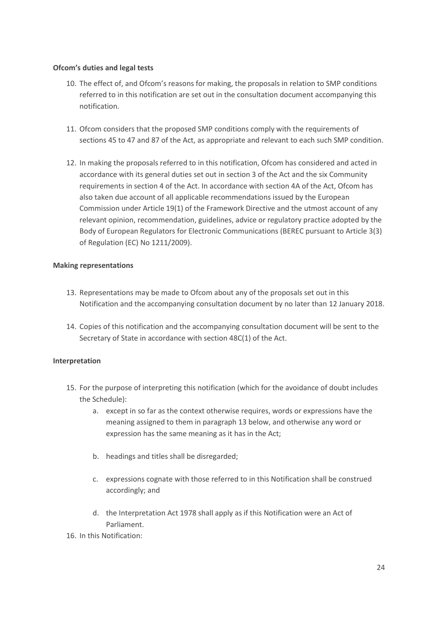#### **Ofcom's duties and legal tests**

- 10. The effect of, and Ofcom's reasons for making, the proposals in relation to SMP conditions referred to in this notification are set out in the consultation document accompanying this notification.
- 11. Ofcom considers that the proposed SMP conditions comply with the requirements of sections 45 to 47 and 87 of the Act, as appropriate and relevant to each such SMP condition.
- 12. In making the proposals referred to in this notification, Ofcom has considered and acted in accordance with its general duties set out in section 3 of the Act and the six Community requirements in section 4 of the Act. In accordance with section 4A of the Act, Ofcom has also taken due account of all applicable recommendations issued by the European Commission under Article 19(1) of the Framework Directive and the utmost account of any relevant opinion, recommendation, guidelines, advice or regulatory practice adopted by the Body of European Regulators for Electronic Communications (BEREC pursuant to Article 3(3) of Regulation (EC) No 1211/2009).

#### **Making representations**

- 13. Representations may be made to Ofcom about any of the proposals set out in this Notification and the accompanying consultation document by no later than 12 January 2018.
- 14. Copies of this notification and the accompanying consultation document will be sent to the Secretary of State in accordance with section 48C(1) of the Act.

#### **Interpretation**

- 15. For the purpose of interpreting this notification (which for the avoidance of doubt includes the Schedule):
	- a. except in so far as the context otherwise requires, words or expressions have the meaning assigned to them in paragraph 13 below, and otherwise any word or expression has the same meaning as it has in the Act;
	- b. headings and titles shall be disregarded;
	- c. expressions cognate with those referred to in this Notification shall be construed accordingly; and
	- d. the Interpretation Act 1978 shall apply as if this Notification were an Act of Parliament.
- 16. In this Notification: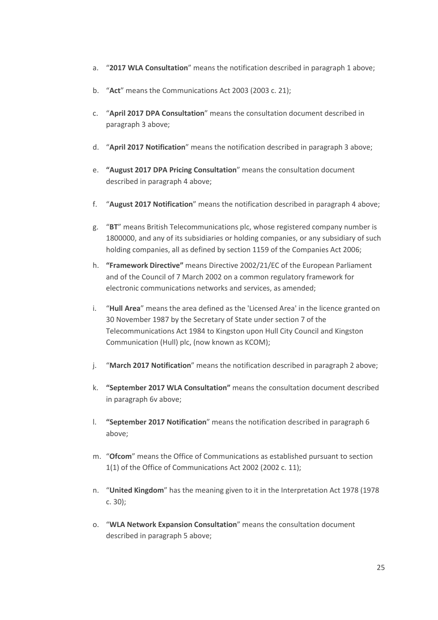- a. "**2017 WLA Consultation**" means the notification described in paragraph 1 above;
- b. "**Act**" means the Communications Act 2003 (2003 c. 21);
- c. "**April 2017 DPA Consultation**" means the consultation document described in paragraph 3 above;
- d. "**April 2017 Notification**" means the notification described in paragraph 3 above;
- e. **"August 2017 DPA Pricing Consultation**" means the consultation document described in paragraph 4 above;
- f. "**August 2017 Notification**" means the notification described in paragraph 4 above;
- g. "**BT**" means British Telecommunications plc, whose registered company number is 1800000, and any of its subsidiaries or holding companies, or any subsidiary of such holding companies, all as defined by section 1159 of the Companies Act 2006;
- h. **"Framework Directive"** means Directive 2002/21/EC of the European Parliament and of the Council of 7 March 2002 on a common regulatory framework for electronic communications networks and services, as amended;
- i. "**Hull Area**" means the area defined as the 'Licensed Area' in the licence granted on 30 November 1987 by the Secretary of State under section 7 of the Telecommunications Act 1984 to Kingston upon Hull City Council and Kingston Communication (Hull) plc, (now known as KCOM);
- j. "**March 2017 Notification**" means the notification described in paragraph 2 above;
- k. **"September 2017 WLA Consultation"** means the consultation document described in paragraph 6v above;
- l. **"September 2017 Notification**" means the notification described in paragraph 6 above;
- m. "**Ofcom**" means the Office of Communications as established pursuant to section 1(1) of the Office of Communications Act 2002 (2002 c. 11);
- n. "**United Kingdom**" has the meaning given to it in the Interpretation Act 1978 (1978 c. 30);
- o. "**WLA Network Expansion Consultation**" means the consultation document described in paragraph 5 above;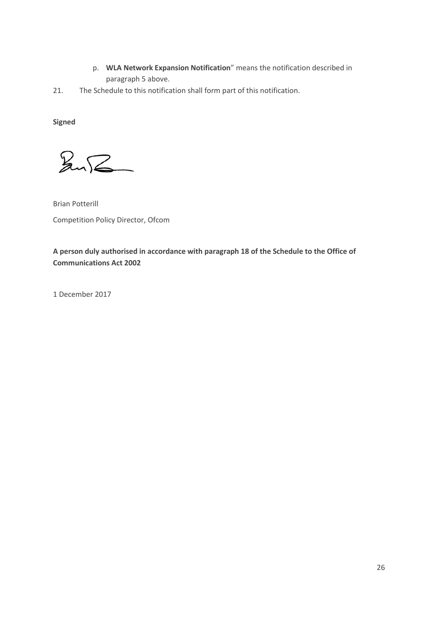- p. **WLA Network Expansion Notification**" means the notification described in paragraph 5 above.
- 21. The Schedule to this notification shall form part of this notification.

**Signed**

 $\sqrt{2\pi}$ 

Brian Potterill Competition Policy Director, Ofcom

**A person duly authorised in accordance with paragraph 18 of the Schedule to the Office of Communications Act 2002**

1 December 2017